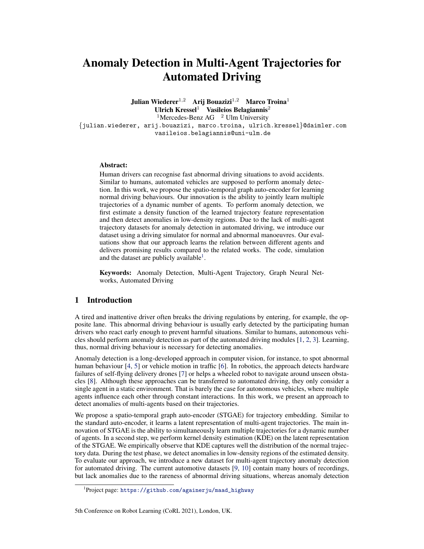# Anomaly Detection in Multi-Agent Trajectories for Automated Driving

Julian Wiederer<sup>1,2</sup> Arij Bouazizi<sup>1,2</sup> Marco Troina<sup>1</sup> Ulrich Kressel<sup>1</sup> Vasileios Belagiannis<sup>2</sup> <sup>1</sup>Mercedes-Benz AG  $^2$  Ulm University {julian.wiederer, arij.bouazizi, marco.troina, ulrich.kressel}@daimler.com vasileios.belagiannis@uni-ulm.de

#### Abstract:

Human drivers can recognise fast abnormal driving situations to avoid accidents. Similar to humans, automated vehicles are supposed to perform anomaly detection. In this work, we propose the spatio-temporal graph auto-encoder for learning normal driving behaviours. Our innovation is the ability to jointly learn multiple trajectories of a dynamic number of agents. To perform anomaly detection, we first estimate a density function of the learned trajectory feature representation and then detect anomalies in low-density regions. Due to the lack of multi-agent trajectory datasets for anomaly detection in automated driving, we introduce our dataset using a driving simulator for normal and abnormal manoeuvres. Our evaluations show that our approach learns the relation between different agents and delivers promising results compared to the related works. The code, simulation and the dataset are publicly available<sup>1</sup>.

Keywords: Anomaly Detection, Multi-Agent Trajectory, Graph Neural Networks, Automated Driving

## 1 Introduction

A tired and inattentive driver often breaks the driving regulations by entering, for example, the opposite lane. This abnormal driving behaviour is usually early detected by the participating human drivers who react early enough to prevent harmful situations. Similar to humans, autonomous vehicles should perform anomaly detection as part of the automated driving modules [\[1,](#page-8-0) [2,](#page-8-0) [3\]](#page-8-0). Learning, thus, normal driving behaviour is necessary for detecting anomalies.

Anomaly detection is a long-developed approach in computer vision, for instance, to spot abnormal human behaviour [\[4,](#page-8-0) [5\]](#page-8-0) or vehicle motion in traffic [\[6\]](#page-8-0). In robotics, the approach detects hardware failures of self-flying delivery drones [\[7\]](#page-8-0) or helps a wheeled robot to navigate around unseen obstacles [\[8\]](#page-8-0). Although these approaches can be transferred to automated driving, they only consider a single agent in a static environment. That is barely the case for autonomous vehicles, where multiple agents influence each other through constant interactions. In this work, we present an approach to detect anomalies of multi-agents based on their trajectories.

We propose a spatio-temporal graph auto-encoder (STGAE) for trajectory embedding. Similar to the standard auto-encoder, it learns a latent representation of multi-agent trajectories. The main innovation of STGAE is the ability to simultaneously learn multiple trajectories for a dynamic number of agents. In a second step, we perform kernel density estimation (KDE) on the latent representation of the STGAE. We empirically observe that KDE captures well the distribution of the normal trajectory data. During the test phase, we detect anomalies in low-density regions of the estimated density. To evaluate our approach, we introduce a new dataset for multi-agent trajectory anomaly detection for automated driving. The current automotive datasets [\[9,](#page-8-0) [10\]](#page-8-0) contain many hours of recordings, but lack anomalies due to the rareness of abnormal driving situations, whereas anomaly detection

<sup>1</sup> Project page: [https://github.com/againerju/maad\\_highway](https://github.com/againerju/maad_highway)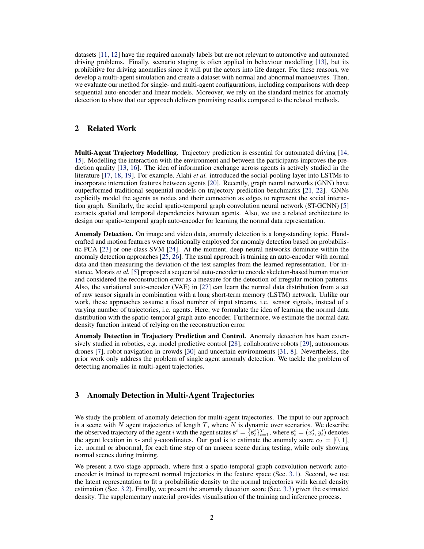datasets [\[11,](#page-8-0) [12\]](#page-8-0) have the required anomaly labels but are not relevant to automotive and automated driving problems. Finally, scenario staging is often applied in behaviour modelling [\[13\]](#page-8-0), but its prohibitive for driving anomalies since it will put the actors into life danger. For these reasons, we develop a multi-agent simulation and create a dataset with normal and abnormal manoeuvres. Then, we evaluate our method for single- and multi-agent configurations, including comparisons with deep sequential auto-encoder and linear models. Moreover, we rely on the standard metrics for anomaly detection to show that our approach delivers promising results compared to the related methods.

# 2 Related Work

Multi-Agent Trajectory Modelling. Trajectory prediction is essential for automated driving [\[14,](#page-8-0) [15\]](#page-9-0). Modelling the interaction with the environment and between the participants improves the prediction quality [\[13,](#page-8-0) [16\]](#page-9-0). The idea of information exchange across agents is actively studied in the literature [\[17,](#page-9-0) [18,](#page-9-0) [19\]](#page-9-0). For example, Alahi *et al.* introduced the social-pooling layer into LSTMs to incorporate interaction features between agents [\[20\]](#page-9-0). Recently, graph neural networks (GNN) have outperformed traditional sequential models on trajectory prediction benchmarks [\[21,](#page-9-0) [22\]](#page-9-0). GNNs explicitly model the agents as nodes and their connection as edges to represent the social interaction graph. Similarly, the social spatio-temporal graph convolution neural network (ST-GCNN) [\[5\]](#page-8-0) extracts spatial and temporal dependencies between agents. Also, we use a related architecture to design our spatio-temporal graph auto-encoder for learning the normal data representation.

Anomaly Detection. On image and video data, anomaly detection is a long-standing topic. Handcrafted and motion features were traditionally employed for anomaly detection based on probabilistic PCA [\[23\]](#page-9-0) or one-class SVM [\[24\]](#page-9-0). At the moment, deep neural networks dominate within the anomaly detection approaches [\[25,](#page-9-0) [26\]](#page-9-0). The usual approach is training an auto-encoder with normal data and then measuring the deviation of the test samples from the learned representation. For instance, Morais *et al.* [\[5\]](#page-8-0) proposed a sequential auto-encoder to encode skeleton-based human motion and considered the reconstruction error as a measure for the detection of irregular motion patterns. Also, the variational auto-encoder (VAE) in [\[27\]](#page-9-0) can learn the normal data distribution from a set of raw sensor signals in combination with a long short-term memory (LSTM) network. Unlike our work, these approaches assume a fixed number of input streams, i.e. sensor signals, instead of a varying number of trajectories, i.e. agents. Here, we formulate the idea of learning the normal data distribution with the spatio-temporal graph auto-encoder. Furthermore, we estimate the normal data density function instead of relying on the reconstruction error.

Anomaly Detection in Trajectory Prediction and Control. Anomaly detection has been extensively studied in robotics, e.g. model predictive control [\[28\]](#page-9-0), collaborative robots [\[29\]](#page-9-0), autonomous drones [\[7\]](#page-8-0), robot navigation in crowds [\[30\]](#page-9-0) and uncertain environments [\[31,](#page-10-0) [8\]](#page-8-0). Nevertheless, the prior work only address the problem of single agent anomaly detection. We tackle the problem of detecting anomalies in multi-agent trajectories.

### 3 Anomaly Detection in Multi-Agent Trajectories

We study the problem of anomaly detection for multi-agent trajectories. The input to our approach is a scene with  $N$  agent trajectories of length  $T$ , where  $N$  is dynamic over scenarios. We describe the observed trajectory of the agent i with the agent states  $\mathbf{s}^i = \{\mathbf{s}_t^i\}_{t=1}^T$ , where  $\mathbf{s}_t^i = (x_t^i, y_t^i)$  denotes the agent location in x- and y-coordinates. Our goal is to estimate the anomaly score  $\alpha_t = [0, 1]$ , i.e. normal or abnormal, for each time step of an unseen scene during testing, while only showing normal scenes during training.

We present a two-stage approach, where first a spatio-temporal graph convolution network autoencoder is trained to represent normal trajectories in the feature space (Sec. [3.1\)](#page-2-0). Second, we use the latent representation to fit a probabilistic density to the normal trajectories with kernel density estimation (Sec. [3.2\)](#page-3-0). Finally, we present the anomaly detection score (Sec. [3.3\)](#page-3-0) given the estimated density. The supplementary material provides visualisation of the training and inference process.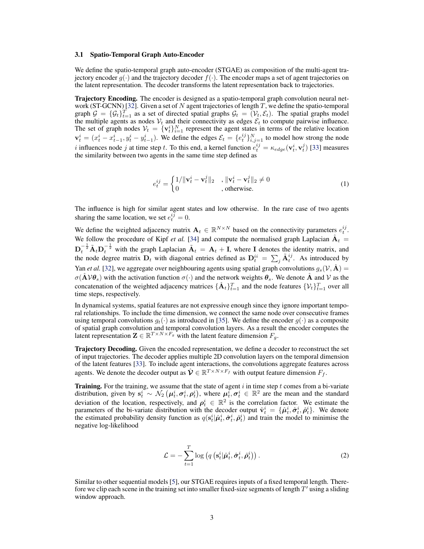#### <span id="page-2-0"></span>3.1 Spatio-Temporal Graph Auto-Encoder

We define the spatio-temporal graph auto-encoder (STGAE) as composition of the multi-agent trajectory encoder  $g(\cdot)$  and the trajectory decoder  $f(\cdot)$ . The encoder maps a set of agent trajectories on the latent representation. The decoder transforms the latent representation back to trajectories.

Trajectory Encoding. The encoder is designed as a spatio-temporal graph convolution neural net-work (ST-GCNN) [\[32\]](#page-10-0). Given a set of  $N$  agent trajectories of length  $T$ , we define the spatio-temporal graph  $G = \{G_t\}_{t=1}^T$  as a set of directed spatial graphs  $G_t = (V_t, \mathcal{E}_t)$ . The spatial graphs model the multiple agents as nodes  $V_t$  and their connectivity as edges  $\mathcal{E}_t$  to compute pairwise influence. The set of graph nodes  $V_t = \{v_t^i\}_{i=1}^N$  represent the agent states in terms of the relative location  $\mathbf{v}_t^i = (x_t^i - x_{t-1}^i, y_t^i - y_{t-1}^i)$ . We define the edges  $\mathcal{E}_t = \{e_t^{ij}\}_{i,j=1}^N$  to model how strong the node *i* influences node *j* at time step *t*. To this end, a kernel function  $e_t^{ij} = \kappa_{edge}(\mathbf{v}_t^i, \mathbf{v}_t^j)$  [\[33\]](#page-10-0) measures the similarity between two agents in the same time step defined as

$$
e_t^{ij} = \begin{cases} 1/\|\mathbf{v}_t^i - \mathbf{v}_t^j\|_2, & \|\mathbf{v}_t^i - \mathbf{v}_t^j\|_2 \neq 0\\ 0, & \text{otherwise.} \end{cases}
$$
(1)

The influence is high for similar agent states and low otherwise. In the rare case of two agents sharing the same location, we set  $e_t^{ij} = 0$ .

We define the weighted adjacency matrix  $A_t \in \mathbb{R}^{N \times N}$  based on the connectivity parameters  $e_t^{ij}$ . We follow the procedure of Kipf *et al.* [\[34\]](#page-10-0) and compute the normalised graph Laplacian  $\hat{A}_t$  =  $D_t^{-\frac{1}{2}} \tilde{A}_t D_t^{-\frac{1}{2}}$  with the graph Laplacian  $\tilde{A}_t = A_t + I$ , where I denotes the identity matrix, and the node degree matrix  $D_t$  with diagonal entries defined as  $D_t^{ii} = \sum_j \tilde{A}_t^{ij}$ . As introduced by Yan *et al.* [\[32\]](#page-10-0), we aggregate over neighbouring agents using spatial graph convolutions  $g_s(V, \hat{A}) =$  $\sigma(\overline{A} \mathcal{V} \theta_s)$  with the activation function  $\sigma(\cdot)$  and the network weights  $\theta_s$ . We denote  $\overline{A}$  and  $\mathcal{V}$  as the concatenation of the weighted adjacency matrices  $\{\hat{A}_t\}_{t=1}^T$  and the node features  $\{\mathcal{V}_t\}_{t=1}^T$  over all time steps, respectively.

In dynamical systems, spatial features are not expressive enough since they ignore important temporal relationships. To include the time dimension, we connect the same node over consecutive frames using temporal convolutions  $g_t(\cdot)$  as introduced in [\[35\]](#page-10-0). We define the encoder  $g(\cdot)$  as a composite of spatial graph convolution and temporal convolution layers. As a result the encoder computes the latent representation  $\mathbf{Z} \in \mathbb{R}^{T \times N \times F_g}$  with the latent feature dimension  $F_g$ .

Trajectory Decoding. Given the encoded representation, we define a decoder to reconstruct the set of input trajectories. The decoder applies multiple 2D convolution layers on the temporal dimension of the latent features [\[33\]](#page-10-0). To include agent interactions, the convolutions aggregate features across agents. We denote the decoder output as  $\hat{\mathbf{\mathcal{V}}} \in \mathbb{R}^{T \times N \times F_f}$  with output feature dimension  $F_f$ .

**Training.** For the training, we assume that the state of agent  $i$  in time step  $t$  comes from a bi-variate distribution, given by  $s_t^i \sim \mathcal{N}_2(\mu_t^i, \sigma_t^i, \rho_t^i)$ , where  $\mu_t^i, \sigma_t^i \in \mathbb{R}^2$  are the mean and the standard deviation of the location, respectively, and  $\rho_t^i \in \mathbb{R}^2$  is the correlation factor. We estimate the parameters of the bi-variate distribution with the decoder output  $\hat{\mathbf{v}}_t^i = {\hat{\mu}_t^i, \hat{\sigma}_t^i, \hat{\rho}_t^i}$ . We denote the estimated probability density function as  $q(s_t^i|\hat{\mu}_t^i, \hat{\sigma}_t^i, \hat{\rho}_t^i)$  and train the model to minimise the negative log-likelihood

$$
\mathcal{L} = -\sum_{t=1}^{T} \log \left( q\left( \mathbf{s}_t^i | \hat{\boldsymbol{\mu}}_t^i, \hat{\boldsymbol{\sigma}}_t^i, \hat{\boldsymbol{\rho}}_t^i \right) \right). \tag{2}
$$

Similar to other sequential models [\[5\]](#page-8-0), our STGAE requires inputs of a fixed temporal length. Therefore we clip each scene in the training set into smaller fixed-size segments of length  $T'$  using a sliding window approach.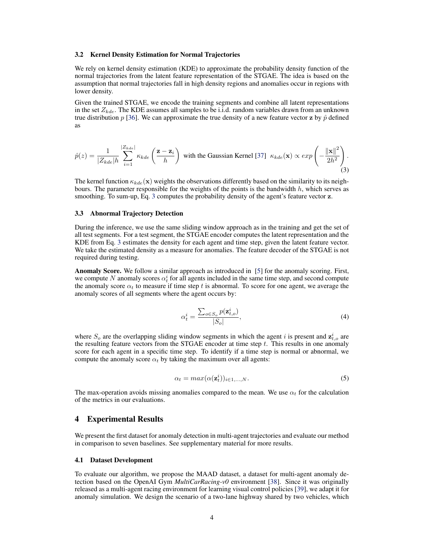#### <span id="page-3-0"></span>3.2 Kernel Density Estimation for Normal Trajectories

We rely on kernel density estimation (KDE) to approximate the probability density function of the normal trajectories from the latent feature representation of the STGAE. The idea is based on the assumption that normal trajectories fall in high density regions and anomalies occur in regions with lower density.

Given the trained STGAE, we encode the training segments and combine all latent representations in the set  $Z_{kde}$ . The KDE assumes all samples to be i.i.d. random variables drawn from an unknown true distribution p [\[36\]](#page-10-0). We can approximate the true density of a new feature vector z by  $\hat{p}$  defined as

$$
\hat{p}(z) = \frac{1}{|Z_{kde}|h} \sum_{i=1}^{|Z_{kde}|} \kappa_{kde} \left(\frac{\mathbf{z} - \mathbf{z}_i}{h}\right) \text{ with the Gaussian Kernel [37] } \kappa_{kde}(\mathbf{x}) \propto exp\left(-\frac{\|\mathbf{x}\|^2}{2h^2}\right). \tag{3}
$$

The kernel function  $\kappa_{kde}(\mathbf{x})$  weights the observations differently based on the similarity to its neighbours. The parameter responsible for the weights of the points is the bandwidth  $h$ , which serves as smoothing. To sum-up, Eq. 3 computes the probability density of the agent's feature vector **z**.

#### 3.3 Abnormal Trajectory Detection

During the inference, we use the same sliding window approach as in the training and get the set of all test segments. For a test segment, the STGAE encoder computes the latent representation and the KDE from Eq. 3 estimates the density for each agent and time step, given the latent feature vector. We take the estimated density as a measure for anomalies. The feature decoder of the STGAE is not required during testing.

Anomaly Score. We follow a similar approach as introduced in [\[5\]](#page-8-0) for the anomaly scoring. First, we compute N anomaly scores  $\alpha_t^i$  for all agents included in the same time step, and second compute the anomaly score  $\alpha_t$  to measure if time step t is abnormal. To score for one agent, we average the anomaly scores of all segments where the agent occurs by:

$$
\alpha_t^i = \frac{\sum_{o \in S_o} p(\mathbf{z}_{t,o}^i)}{|S_o|},\tag{4}
$$

where  $S_o$  are the overlapping sliding window segments in which the agent i is present and  $z_{t,o}^i$  are the resulting feature vectors from the STGAE encoder at time step  $t$ . This results in one anomaly score for each agent in a specific time step. To identify if a time step is normal or abnormal, we compute the anomaly score  $\alpha_t$  by taking the maximum over all agents:

$$
\alpha_t = \max(\alpha(\mathbf{z}_t^i))_{i \in 1,\dots,N}.\tag{5}
$$

The max-operation avoids missing anomalies compared to the mean. We use  $\alpha_t$  for the calculation of the metrics in our evaluations.

## 4 Experimental Results

We present the first dataset for anomaly detection in multi-agent trajectories and evaluate our method in comparison to seven baselines. See supplementary material for more results.

#### 4.1 Dataset Development

To evaluate our algorithm, we propose the MAAD dataset, a dataset for multi-agent anomaly detection based on the OpenAI Gym *MultiCarRacing-v0* environment [\[38\]](#page-10-0). Since it was originally released as a multi-agent racing environment for learning visual control policies [\[39\]](#page-10-0), we adapt it for anomaly simulation. We design the scenario of a two-lane highway shared by two vehicles, which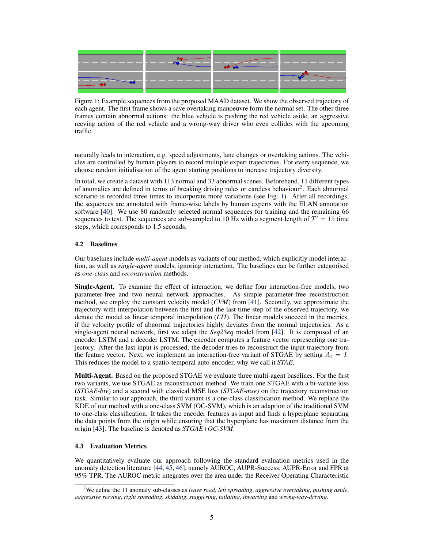

Figure 1: Example sequences from the proposed MAAD dataset. We show the observed trajectory of each agent. The first frame shows a save overtaking manoeuvre form the normal set. The other three frames contain abnormal actions: the blue vehicle is pushing the red vehicle aside, an aggressive reeving action of the red vehicle and a wrong-way driver who even collides with the upcoming traffic.

naturally leads to interaction, e.g. speed adjustments, lane changes or overtaking actions. The vehicles are controlled by human players to record multiple expert trajectories. For every sequence, we choose random initialisation of the agent starting positions to increase trajectory diversity.

In total, we create a dataset with 113 normal and 33 abnormal scenes. Beforehand, 11 different types of anomalies are defined in terms of breaking driving rules or careless behaviour<sup>2</sup>. Each abnormal scenario is recorded three times to incorporate more variations (see Fig. 1). After all recordings, the sequences are annotated with frame-wise labels by human experts with the ELAN annotation software [\[40\]](#page-10-0). We use 80 randomly selected normal sequences for training and the remaining 66 sequences to test. The sequences are sub-sampled to 10 Hz with a segment length of  $T' = 15$  time steps, which corresponds to 1.5 seconds.

## 4.2 Baselines

Our baselines include *multi-agent* models as variants of our method, which explicitly model interaction, as well as *single-agent* models, ignoring interaction. The baselines can be further categorised as *one-class* and *reconstruction* methods.

Single-Agent. To examine the effect of interaction, we define four interaction-free models, two parameter-free and two neural network approaches. As simple parameter-free reconstruction method, we employ the constant velocity model (*CVM*) from [\[41\]](#page-10-0). Secondly, we approximate the trajectory with interpolation between the first and the last time step of the observed trajectory, we denote the model as linear temporal interpolation (*LTI*). The linear models succeed in the metrics, if the velocity profile of abnormal trajectories highly deviates from the normal trajectories. As a single-agent neural network, first we adapt the *Seq2Seq* model from [\[42\]](#page-10-0). It is composed of an encoder LSTM and a decoder LSTM. The encoder computes a feature vector representing one trajectory. After the last input is processed, the decoder tries to reconstruct the input trajectory from the feature vector. Next, we implement an interaction-free variant of STGAE by setting  $A_t = I$ . This reduces the model to a spatio-temporal auto-encoder, why we call it *STAE*.

Multi-Agent. Based on the proposed STGAE we evaluate three multi-agent baselines. For the first two variants, we use STGAE as reconstruction method. We train one STGAE with a bi-variate loss (*STGAE-biv*) and a second with classical MSE loss (*STGAE-mse*) on the trajectory reconstruction task. Similar to our approach, the third variant is a one-class classification method. We replace the KDE of our method with a one-class SVM (OC-SVM), which is an adaption of the traditional SVM to one-class classification. It takes the encoder features as input and finds a hyperplane separating the data points from the origin while ensuring that the hyperplane has maximum distance from the origin [\[43\]](#page-10-0). The baseline is denoted as *STGAE+OC-SVM*.

#### 4.3 Evaluation Metrics

We quantitatively evaluate our approach following the standard evaluation metrics used in the anomaly detection literature [\[44,](#page-10-0) [45,](#page-10-0) [46\]](#page-10-0), namely AUROC, AUPR-Success, AUPR-Error and FPR at 95% TPR. The AUROC metric integrates over the area under the Receiver Operating Characteristic

<sup>2</sup>We define the 11 anomaly sub-classes as *leave road*, *left spreading*, *aggressive overtaking*, *pushing aside*, *aggressive reeving*, *right spreading*, *skidding*, *staggering*, *tailating*, *thwarting* and *wrong-way-driving*.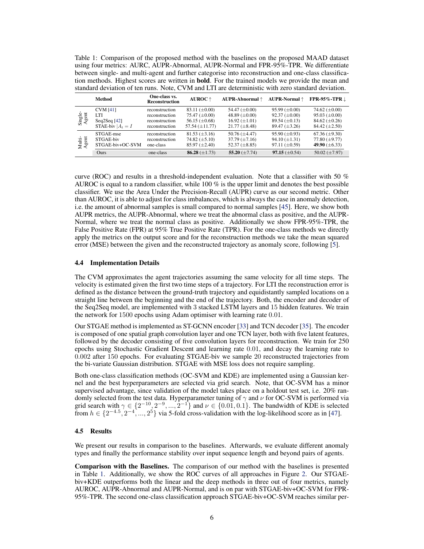Table 1: Comparison of the proposed method with the baselines on the proposed MAAD dataset using four metrics: AURC, AUPR-Abnormal, AUPR-Normal and FPR-95%-TPR. We differentiate between single- and multi-agent and further categorise into reconstruction and one-class classification methods. Highest scores are written in bold. For the trained models we provide the mean and standard deviation of ten runs. Note, CVM and LTI are deterministic with zero standard deviation.

|                  | Method             | One-class vs.<br><b>Reconstruction</b> | $AUROC$ $\uparrow$   | AUPR-Abnormal ↑      | <b>AUPR-Normal</b> ↑ | FPR-95%-TPR $\downarrow$ |
|------------------|--------------------|----------------------------------------|----------------------|----------------------|----------------------|--------------------------|
| Single-<br>Agent | <b>CVM</b> [41]    | reconstruction                         | 83.11 $(\pm 0.00)$   | 54.47 $(\pm 0.00)$   | $95.99 \ (\pm 0.00)$ | 74.62 $(\pm 0.00)$       |
|                  | LTI                | reconstruction                         | 75.47 $(\pm 0.00)$   | 48.89 $(\pm 0.00)$   | $92.37 \ (\pm 0.00)$ | $95.03 \ (\pm 0.00)$     |
|                  | Seq2Seq $[42]$     | reconstruction                         | 56.15 $(\pm 0.68)$   | $16.92 \ (\pm 1.01)$ | $89.54 \ (\pm 0.13)$ | 84.62 $(\pm 0.26)$       |
|                  | STAE-biv $A_t = I$ | reconstruction                         | 57.54 $(\pm 11.77)$  | $21.77 \ (\pm 8.48)$ | $89.47 \ (\pm 3.26)$ | $84.42 \ (\pm 2.50)$     |
| Multi-<br>Agent  | STGAE-mse          | reconstruction                         | $81.53 \ (\pm 3.16)$ | 50.76 $(\pm 4.47)$   | $95.90 \ (\pm 0.93)$ | $67.36 \ (\pm 9.30)$     |
|                  | STGAE-biv          | reconstruction                         | 74.82 $(\pm 5.10)$   | $37.79 \ (\pm 7.16)$ | $94.10 (\pm 1.31)$   | 77.80 $(\pm 9.77)$       |
|                  | STGAE-biv+OC-SVM   | one-class                              | $85.97 \ (\pm 2.40)$ | 52.37 $(\pm 8.85)$   | $97.11 \ (\pm 0.59)$ | 49.90 $(\pm 6.33)$       |
|                  | Ours               | one-class                              | 86.28 $(\pm 1.73)$   | 55.20 $(\pm 7.74)$   | $97.15 \ (\pm 0.54)$ | 50.02 $(\pm 7.97)$       |

curve (ROC) and results in a threshold-independent evaluation. Note that a classifier with 50  $\%$ AUROC is equal to a random classifier, while 100 % is the upper limit and denotes the best possible classifier. We use the Area Under the Precision-Recall (AUPR) curve as our second metric. Other than AUROC, it is able to adjust for class imbalances, which is always the case in anomaly detection, i.e. the amount of abnormal samples is small compared to normal samples [\[45\]](#page-10-0). Here, we show both AUPR metrics, the AUPR-Abnormal, where we treat the abnormal class as positive, and the AUPR-Normal, where we treat the normal class as positive. Additionally we show FPR-95%-TPR, the False Positive Rate (FPR) at 95% True Positive Rate (TPR). For the one-class methods we directly apply the metrics on the output score and for the reconstruction methods we take the mean squared error (MSE) between the given and the reconstructed trajectory as anomaly score, following [\[5\]](#page-8-0).

#### 4.4 Implementation Details

The CVM approximates the agent trajectories assuming the same velocity for all time steps. The velocity is estimated given the first two time steps of a trajectory. For LTI the reconstruction error is defined as the distance between the ground-truth trajectory and equidistantly sampled locations on a straight line between the beginning and the end of the trajectory. Both, the encoder and decoder of the Seq2Seq model, are implemented with 3 stacked LSTM layers and 15 hidden features. We train the network for 1500 epochs using Adam optimiser with learning rate 0.01.

Our STGAE method is implemented as ST-GCNN encoder [\[33\]](#page-10-0) and TCN decoder [\[35\]](#page-10-0). The encoder is composed of one spatial graph convolution layer and one TCN layer, both with five latent features, followed by the decoder consisting of five convolution layers for reconstruction. We train for 250 epochs using Stochastic Gradient Descent and learning rate 0.01, and decay the learning rate to 0.002 after 150 epochs. For evaluating STGAE-biv we sample 20 reconstructed trajectories from the bi-variate Gaussian distribution. STGAE with MSE loss does not require sampling.

Both one-class classification methods (OC-SVM and KDE) are implemented using a Gaussian kernel and the best hyperparameters are selected via grid search. Note, that OC-SVM has a minor supervised advantage, since validation of the model takes place on a holdout test set, i.e. 20% randomly selected from the test data. Hyperparameter tuning of  $\gamma$  and  $\nu$  for OC-SVM is performed via grid search with  $\gamma \in \{2^{-10}, 2^{-9}, ..., 2^{-1}\}$  and  $\nu \in \{0.01, 0.1\}$ . The bandwidth of KDE is selected from  $h \in \{2^{-4.5}, 2^{-4}, ..., 2^5\}$  via 5-fold cross-validation with the log-likelihood score as in [\[47\]](#page-10-0).

### 4.5 Results

We present our results in comparison to the baselines. Afterwards, we evaluate different anomaly types and finally the performance stability over input sequence length and beyond pairs of agents.

Comparison with the Baselines. The comparison of our method with the baselines is presented in Table 1. Additionally, we show the ROC curves of all approaches in Figure [2.](#page-6-0) Our STGAEbiv+KDE outperforms both the linear and the deep methods in three out of four metrics, namely AUROC, AUPR-Abnormal and AUPR-Normal, and is on par with STGAE-biv+OC-SVM for FPR-95%-TPR. The second one-class classification approach STGAE-biv+OC-SVM reaches similar per-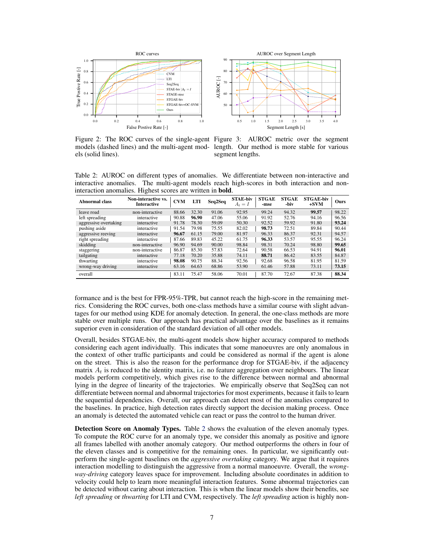<span id="page-6-0"></span>



Figure 2: The ROC curves of the single-agent Figure 3: AUROC metric over the segment models (dashed lines) and the multi-agent mod-length. Our method is more stable for various els (solid lines).

segment lengths.

Table 2: AUROC on different types of anomalies. We differentiate between non-interactive and interactive anomalies. The multi-agent models reach high-scores in both interaction and noninteraction anomalies. Highest scores are written in bold.

| Abnormal class        | Non-interactive vs.<br><b>Interactive</b> | <b>CVM</b> | <b>LTI</b> | Seq2Seq | <b>STAE-biv</b><br>$A_t = I$ | <b>STGAE</b><br>-mse | <b>STGAE</b><br>-biv | <b>STGAE-biv</b><br>$+SVM$ | Ours  |
|-----------------------|-------------------------------------------|------------|------------|---------|------------------------------|----------------------|----------------------|----------------------------|-------|
| leave road            | non-interactive                           | 88.66      | 32.30      | 91.06   | 92.95                        | 99.24                | 94.32                | 99.57                      | 98.22 |
| left spreading        | interactive                               | 90.88      | 96.90      | 47.06   | 55.06                        | 91.92                | 52.76                | 94.16                      | 96.56 |
| aggressive overtaking | interactive                               | 91.78      | 78.30      | 59.09   | 50.30                        | 92.52                | 59.92                | 91.80                      | 93.24 |
| pushing aside         | interactive                               | 91.54      | 79.98      | 75.55   | 82.02                        | 98.73                | 72.51                | 89.84                      | 90.44 |
| aggressive reeving    | interactive                               | 96.67      | 61.15      | 79.00   | 81.97                        | 96.33                | 86.37                | 92.31                      | 94.57 |
| right spreading       | interactive                               | 87.66      | 89.83      | 45.22   | 61.75                        | 96.33                | 53.57                | 95.55                      | 96.24 |
| skidding              | non-interactive                           | 96.90      | 94.69      | 90.00   | 98.84                        | 98.31                | 70.24                | 98.80                      | 99.65 |
| staggering            | non-interactive                           | 86.87      | 85.30      | 57.83   | 72.64                        | 90.58                | 66.53                | 94.91                      | 96.01 |
| tailgating            | interactive                               | 77.18      | 70.20      | 35.88   | 74.11                        | 88.71                | 86.42                | 83.55                      | 84.87 |
| thwarting             | interactive                               | 98.08      | 90.75      | 88.34   | 92.56                        | 92.68                | 96.58                | 81.95                      | 81.59 |
| wrong-way driving     | interactive                               | 63.16      | 64.63      | 68.86   | 53.90                        | 61.46                | 57.88                | 73.11                      | 73.15 |
| overall               |                                           | 83.11      | 75.47      | 58.06   | 70.01                        | 87.70                | 72.67                | 87.38                      | 88.34 |

formance and is the best for FPR-95%-TPR, but cannot reach the high-score in the remaining metrics. Considering the ROC curves, both one-class methods have a similar course with slight advantages for our method using KDE for anomaly detection. In general, the one-class methods are more stable over multiple runs. Our approach has practical advantage over the baselines as it remains superior even in consideration of the standard deviation of all other models.

Overall, besides STGAE-biv, the multi-agent models show higher accuracy compared to methods considering each agent individually. This indicates that some manoeuvres are only anomalous in the context of other traffic participants and could be considered as normal if the agent is alone on the street. This is also the reason for the performance drop for STGAE-biv, if the adjacency matrix  $A_t$  is reduced to the identity matrix, i.e. no feature aggregation over neighbours. The linear models perform competitively, which gives rise to the difference between normal and abnormal lying in the degree of linearity of the trajectories. We empirically observe that Seq2Seq can not differentiate between normal and abnormal trajectories for most experiments, because it fails to learn the sequential dependencies. Overall, our approach can detect most of the anomalies compared to the baselines. In practice, high detection rates directly support the decision making process. Once an anomaly is detected the automated vehicle can react or pass the control to the human driver.

Detection Score on Anomaly Types. Table 2 shows the evaluation of the eleven anomaly types. To compute the ROC curve for an anomaly type, we consider this anomaly as positive and ignore all frames labelled with another anomaly category. Our method outperforms the others in four of the eleven classes and is competitive for the remaining ones. In particular, we significantly outperform the single-agent baselines on the *aggressive overtaking* category. We argue that it requires interaction modelling to distinguish the aggressive from a normal manoeuvre. Overall, the *wrongway-driving* category leaves space for improvement. Including absolute coordinates in addition to velocity could help to learn more meaningful interaction features. Some abnormal trajectories can be detected without caring about interaction. This is when the linear models show their benefits, see *left spreading* or *thwarting* for LTI and CVM, respectively. The *left spreading* action is highly non-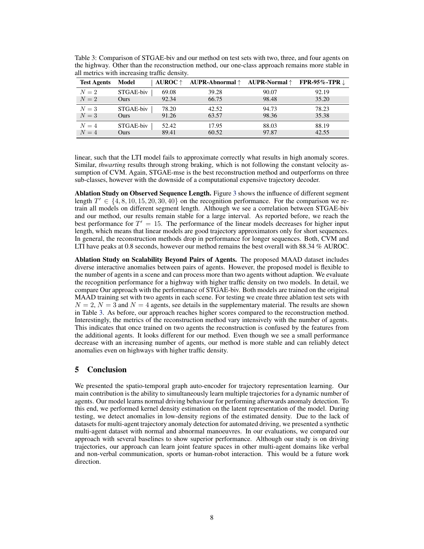| <b>Test Agents</b> | Model     | AUROC $\uparrow$ | AUPR-Abnormal $\uparrow$ | AUPR-Normal $\uparrow$ | FPR-95%-TPR $\downarrow$ |
|--------------------|-----------|------------------|--------------------------|------------------------|--------------------------|
| $N=2$              | STGAE-biv | 69.08            | 39.28                    | 90.07                  | 92.19                    |
| $N=2$              | Ours      | 92.34            | 66.75                    | 98.48                  | 35.20                    |
| $N=3$              | STGAE-biv | 78.20            | 42.52                    | 94.73                  | 78.23                    |
| $N=3$              | Ours      | 91.26            | 63.57                    | 98.36                  | 35.38                    |
| $N=4$              | STGAE-biv | 52.42            | 17.95                    | 88.03                  | 88.19                    |
| $N=4$              | Ours      | 89.41            | 60.52                    | 97.87                  | 42.55                    |

Table 3: Comparison of STGAE-biv and our method on test sets with two, three, and four agents on the highway. Other than the reconstruction method, our one-class approach remains more stable in all metrics with increasing traffic density.

linear, such that the LTI model fails to approximate correctly what results in high anomaly scores. Similar, *thwarting* results through strong braking, which is not following the constant velocity assumption of CVM. Again, STGAE-mse is the best reconstruction method and outperforms on three sub-classes, however with the downside of a computational expensive trajectory decoder.

Ablation Study on Observed Sequence Length. Figure [3](#page-6-0) shows the influence of different segment length  $T' \in \{4, 8, 10, 15, 20, 30, 40\}$  on the recognition performance. For the comparison we retrain all models on different segment length. Although we see a correlation between STGAE-biv and our method, our results remain stable for a large interval. As reported before, we reach the best performance for  $T' = 15$ . The performance of the linear models decreases for higher input length, which means that linear models are good trajectory approximators only for short sequences. In general, the reconstruction methods drop in performance for longer sequences. Both, CVM and LTI have peaks at 0.8 seconds, however our method remains the best overall with 88.34 % AUROC.

Ablation Study on Scalability Beyond Pairs of Agents. The proposed MAAD dataset includes diverse interactive anomalies between pairs of agents. However, the proposed model is flexible to the number of agents in a scene and can process more than two agents without adaption. We evaluate the recognition performance for a highway with higher traffic density on two models. In detail, we compare Our approach with the performance of STGAE-biv. Both models are trained on the original MAAD training set with two agents in each scene. For testing we create three ablation test sets with  $N = 2$ ,  $N = 3$  and  $N = 4$  agents, see details in the supplementary material. The results are shown in Table 3. As before, our approach reaches higher scores compared to the reconstruction method. Interestingly, the metrics of the reconstruction method vary intensively with the number of agents. This indicates that once trained on two agents the reconstruction is confused by the features from the additional agents. It looks different for our method. Even though we see a small performance decrease with an increasing number of agents, our method is more stable and can reliably detect anomalies even on highways with higher traffic density.

# 5 Conclusion

We presented the spatio-temporal graph auto-encoder for trajectory representation learning. Our main contribution is the ability to simultaneously learn multiple trajectories for a dynamic number of agents. Our model learns normal driving behaviour for performing afterwards anomaly detection. To this end, we performed kernel density estimation on the latent representation of the model. During testing, we detect anomalies in low-density regions of the estimated density. Due to the lack of datasets for multi-agent trajectory anomaly detection for automated driving, we presented a synthetic multi-agent dataset with normal and abnormal manoeuvres. In our evaluations, we compared our approach with several baselines to show superior performance. Although our study is on driving trajectories, our approach can learn joint feature spaces in other multi-agent domains like verbal and non-verbal communication, sports or human-robot interaction. This would be a future work direction.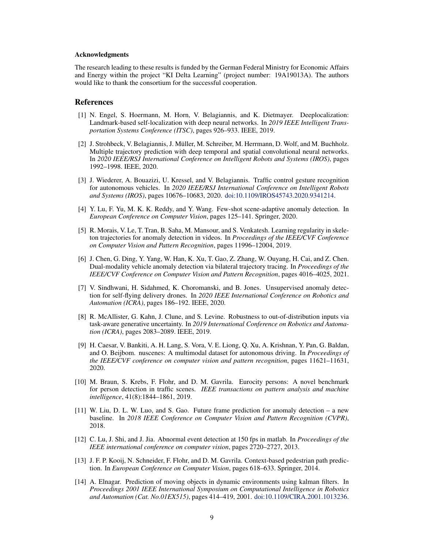#### <span id="page-8-0"></span>Acknowledgments

The research leading to these results is funded by the German Federal Ministry for Economic Affairs and Energy within the project "KI Delta Learning" (project number: 19A19013A). The authors would like to thank the consortium for the successful cooperation.

#### References

- [1] N. Engel, S. Hoermann, M. Horn, V. Belagiannis, and K. Dietmayer. Deeplocalization: Landmark-based self-localization with deep neural networks. In *2019 IEEE Intelligent Transportation Systems Conference (ITSC)*, pages 926–933. IEEE, 2019.
- [2] J. Strohbeck, V. Belagiannis, J. Muller, M. Schreiber, M. Herrmann, D. Wolf, and M. Buchholz. ¨ Multiple trajectory prediction with deep temporal and spatial convolutional neural networks. In *2020 IEEE/RSJ International Conference on Intelligent Robots and Systems (IROS)*, pages 1992–1998. IEEE, 2020.
- [3] J. Wiederer, A. Bouazizi, U. Kressel, and V. Belagiannis. Traffic control gesture recognition for autonomous vehicles. In *2020 IEEE/RSJ International Conference on Intelligent Robots and Systems (IROS)*, pages 10676–10683, 2020. [doi:10.1109/IROS45743.2020.9341214.](http://dx.doi.org/10.1109/IROS45743.2020.9341214)
- [4] Y. Lu, F. Yu, M. K. K. Reddy, and Y. Wang. Few-shot scene-adaptive anomaly detection. In *European Conference on Computer Vision*, pages 125–141. Springer, 2020.
- [5] R. Morais, V. Le, T. Tran, B. Saha, M. Mansour, and S. Venkatesh. Learning regularity in skeleton trajectories for anomaly detection in videos. In *Proceedings of the IEEE/CVF Conference on Computer Vision and Pattern Recognition*, pages 11996–12004, 2019.
- [6] J. Chen, G. Ding, Y. Yang, W. Han, K. Xu, T. Gao, Z. Zhang, W. Ouyang, H. Cai, and Z. Chen. Dual-modality vehicle anomaly detection via bilateral trajectory tracing. In *Proceedings of the IEEE/CVF Conference on Computer Vision and Pattern Recognition*, pages 4016–4025, 2021.
- [7] V. Sindhwani, H. Sidahmed, K. Choromanski, and B. Jones. Unsupervised anomaly detection for self-flying delivery drones. In *2020 IEEE International Conference on Robotics and Automation (ICRA)*, pages 186–192. IEEE, 2020.
- [8] R. McAllister, G. Kahn, J. Clune, and S. Levine. Robustness to out-of-distribution inputs via task-aware generative uncertainty. In *2019 International Conference on Robotics and Automation (ICRA)*, pages 2083–2089. IEEE, 2019.
- [9] H. Caesar, V. Bankiti, A. H. Lang, S. Vora, V. E. Liong, Q. Xu, A. Krishnan, Y. Pan, G. Baldan, and O. Beijbom. nuscenes: A multimodal dataset for autonomous driving. In *Proceedings of the IEEE/CVF conference on computer vision and pattern recognition*, pages 11621–11631, 2020.
- [10] M. Braun, S. Krebs, F. Flohr, and D. M. Gavrila. Eurocity persons: A novel benchmark for person detection in traffic scenes. *IEEE transactions on pattern analysis and machine intelligence*, 41(8):1844–1861, 2019.
- [11] W. Liu, D. L. W. Luo, and S. Gao. Future frame prediction for anomaly detection a new baseline. In *2018 IEEE Conference on Computer Vision and Pattern Recognition (CVPR)*, 2018.
- [12] C. Lu, J. Shi, and J. Jia. Abnormal event detection at 150 fps in matlab. In *Proceedings of the IEEE international conference on computer vision*, pages 2720–2727, 2013.
- [13] J. F. P. Kooij, N. Schneider, F. Flohr, and D. M. Gavrila. Context-based pedestrian path prediction. In *European Conference on Computer Vision*, pages 618–633. Springer, 2014.
- [14] A. Elnagar. Prediction of moving objects in dynamic environments using kalman filters. In *Proceedings 2001 IEEE International Symposium on Computational Intelligence in Robotics and Automation (Cat. No.01EX515)*, pages 414–419, 2001. [doi:10.1109/CIRA.2001.1013236.](http://dx.doi.org/10.1109/CIRA.2001.1013236)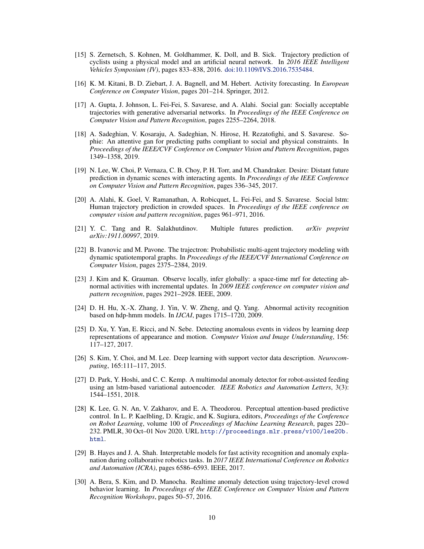- <span id="page-9-0"></span>[15] S. Zernetsch, S. Kohnen, M. Goldhammer, K. Doll, and B. Sick. Trajectory prediction of cyclists using a physical model and an artificial neural network. In *2016 IEEE Intelligent Vehicles Symposium (IV)*, pages 833–838, 2016. [doi:10.1109/IVS.2016.7535484.](http://dx.doi.org/10.1109/IVS.2016.7535484)
- [16] K. M. Kitani, B. D. Ziebart, J. A. Bagnell, and M. Hebert. Activity forecasting. In *European Conference on Computer Vision*, pages 201–214. Springer, 2012.
- [17] A. Gupta, J. Johnson, L. Fei-Fei, S. Savarese, and A. Alahi. Social gan: Socially acceptable trajectories with generative adversarial networks. In *Proceedings of the IEEE Conference on Computer Vision and Pattern Recognition*, pages 2255–2264, 2018.
- [18] A. Sadeghian, V. Kosaraju, A. Sadeghian, N. Hirose, H. Rezatofighi, and S. Savarese. Sophie: An attentive gan for predicting paths compliant to social and physical constraints. In *Proceedings of the IEEE/CVF Conference on Computer Vision and Pattern Recognition*, pages 1349–1358, 2019.
- [19] N. Lee, W. Choi, P. Vernaza, C. B. Choy, P. H. Torr, and M. Chandraker. Desire: Distant future prediction in dynamic scenes with interacting agents. In *Proceedings of the IEEE Conference on Computer Vision and Pattern Recognition*, pages 336–345, 2017.
- [20] A. Alahi, K. Goel, V. Ramanathan, A. Robicquet, L. Fei-Fei, and S. Savarese. Social lstm: Human trajectory prediction in crowded spaces. In *Proceedings of the IEEE conference on computer vision and pattern recognition*, pages 961–971, 2016.
- [21] Y. C. Tang and R. Salakhutdinov. Multiple futures prediction. *arXiv preprint arXiv:1911.00997*, 2019.
- [22] B. Ivanovic and M. Pavone. The trajectron: Probabilistic multi-agent trajectory modeling with dynamic spatiotemporal graphs. In *Proceedings of the IEEE/CVF International Conference on Computer Vision*, pages 2375–2384, 2019.
- [23] J. Kim and K. Grauman. Observe locally, infer globally: a space-time mrf for detecting abnormal activities with incremental updates. In *2009 IEEE conference on computer vision and pattern recognition*, pages 2921–2928. IEEE, 2009.
- [24] D. H. Hu, X.-X. Zhang, J. Yin, V. W. Zheng, and Q. Yang. Abnormal activity recognition based on hdp-hmm models. In *IJCAI*, pages 1715–1720, 2009.
- [25] D. Xu, Y. Yan, E. Ricci, and N. Sebe. Detecting anomalous events in videos by learning deep representations of appearance and motion. *Computer Vision and Image Understanding*, 156: 117–127, 2017.
- [26] S. Kim, Y. Choi, and M. Lee. Deep learning with support vector data description. *Neurocomputing*, 165:111–117, 2015.
- [27] D. Park, Y. Hoshi, and C. C. Kemp. A multimodal anomaly detector for robot-assisted feeding using an lstm-based variational autoencoder. *IEEE Robotics and Automation Letters*, 3(3): 1544–1551, 2018.
- [28] K. Lee, G. N. An, V. Zakharov, and E. A. Theodorou. Perceptual attention-based predictive control. In L. P. Kaelbling, D. Kragic, and K. Sugiura, editors, *Proceedings of the Conference on Robot Learning*, volume 100 of *Proceedings of Machine Learning Research*, pages 220– 232. PMLR, 30 Oct–01 Nov 2020. URL [http://proceedings.mlr.press/v100/lee20b.](http://proceedings.mlr.press/v100/lee20b.html) [html](http://proceedings.mlr.press/v100/lee20b.html).
- [29] B. Hayes and J. A. Shah. Interpretable models for fast activity recognition and anomaly explanation during collaborative robotics tasks. In *2017 IEEE International Conference on Robotics and Automation (ICRA)*, pages 6586–6593. IEEE, 2017.
- [30] A. Bera, S. Kim, and D. Manocha. Realtime anomaly detection using trajectory-level crowd behavior learning. In *Proceedings of the IEEE Conference on Computer Vision and Pattern Recognition Workshops*, pages 50–57, 2016.